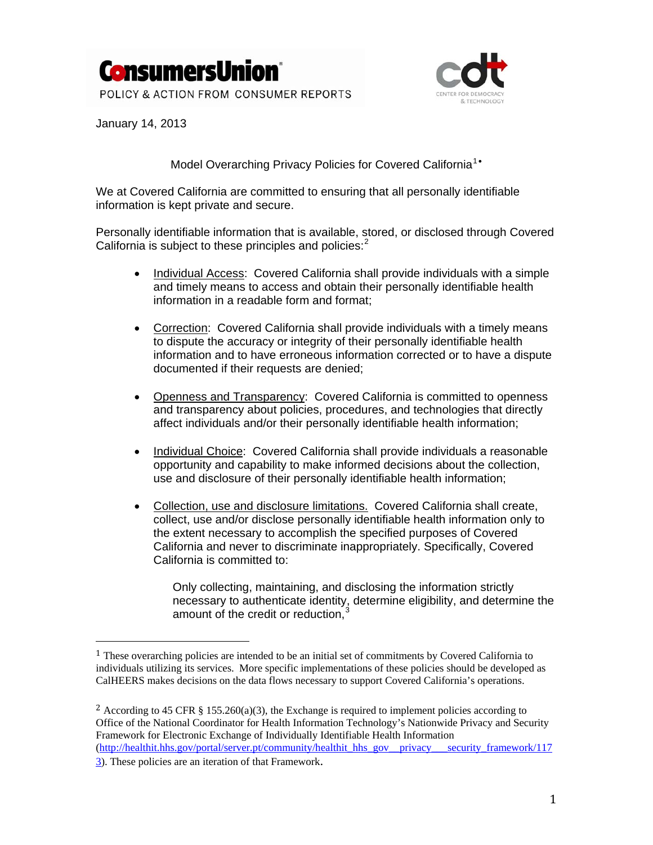



January 14, 2013

Model Overarching Privacy Policies for Covered California<sup>[1](#page-0-0)</sup>\*

We at Covered California are committed to ensuring that all personally identifiable information is kept private and secure.

Personally identifiable information that is available, stored, or disclosed through Covered California is subject to these principles and policies: $<sup>2</sup>$  $<sup>2</sup>$  $<sup>2</sup>$ </sup>

- Individual Access: Covered California shall provide individuals with a simple and timely means to access and obtain their personally identifiable health information in a readable form and format;
- Correction: Covered California shall provide individuals with a timely means to dispute the accuracy or integrity of their personally identifiable health information and to have erroneous information corrected or to have a dispute documented if their requests are denied;
- Openness and Transparency: Covered California is committed to openness and transparency about policies, procedures, and technologies that directly affect individuals and/or their personally identifiable health information;
- Individual Choice: Covered California shall provide individuals a reasonable opportunity and capability to make informed decisions about the collection, use and disclosure of their personally identifiable health information;
- Collection, use and disclosure limitations. Covered California shall create, collect, use and/or disclose personally identifiable health information only to the extent necessary to accomplish the specified purposes of Covered California and never to discriminate inappropriately. Specifically, Covered California is committed to:

Only collecting, maintaining, and disclosing the information strictly necessary to authenticate identity, determine eligibility, and determine the amount of the credit or reduction,<sup>[3](#page-0-2)</sup>

÷,

<span id="page-0-0"></span><sup>1</sup> These overarching policies are intended to be an initial set of commitments by Covered California to ndividuals utilizing its services. More specific implementations of these policies should be developed as i CalHEERS makes decisions on the data flows necessary to support Covered California's operations.

<span id="page-0-2"></span><span id="page-0-1"></span><sup>&</sup>lt;sup>2</sup> According to 45 CFR § 155.260(a)(3), the Exchange is required to implement policies according to Office of the National Coordinator for Health Information Technology's Nationwide Privacy and Security Framework for Electronic Exchange of Individually Identifiable Health Information [\(http://healthit.hhs.gov/portal/server.pt/community/healthit\\_hhs\\_gov\\_\\_privacy\\_\\_\\_security\\_framework/117](http://healthit.hhs.gov/portal/server.pt/community/healthit_hhs_gov__privacy___security_framework/1173)

[<sup>3\)</sup>](http://healthit.hhs.gov/portal/server.pt/community/healthit_hhs_gov__privacy___security_framework/1173). These policies are an iteration of that Framework.